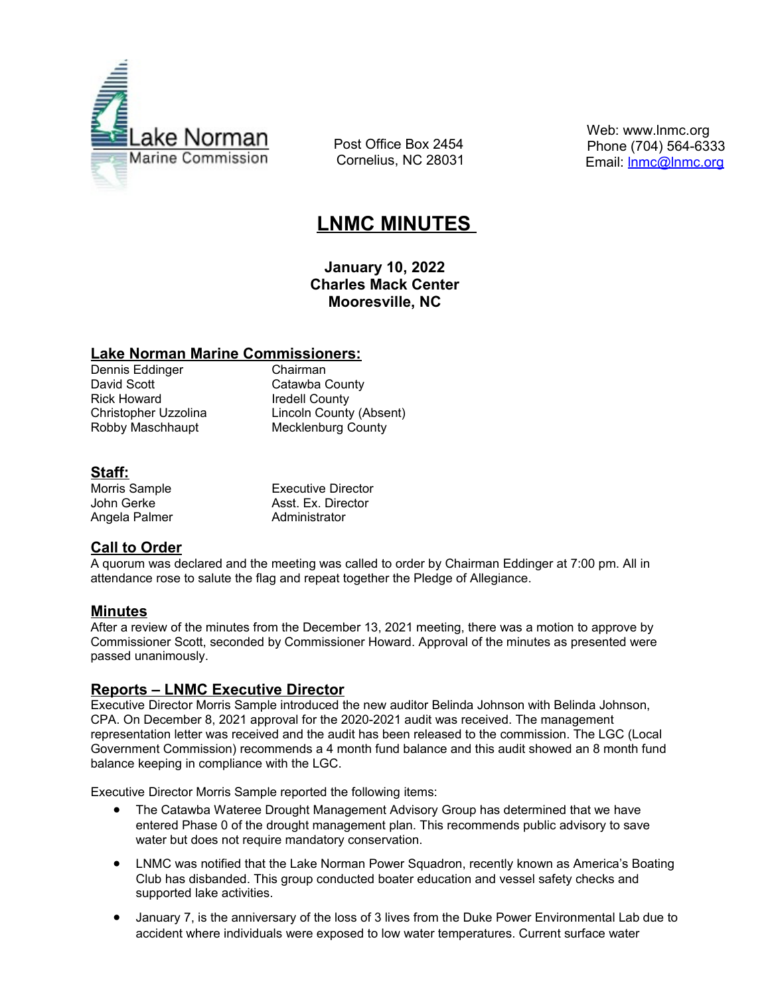

 Post Office Box 2454 Cornelius, NC 28031  Web: www.lnmc.org Phone (704) 564-6333 Email: **Inmc@Inmc.org** 

# **LNMC MINUTES**

**January 10, 2022 Charles Mack Center Mooresville, NC**

#### **Lake Norman Marine Commissioners:**

Dennis Eddinger **Chairman**<br>
David Scott Catawba C Rick Howard **Iredell County** 

Catawba County Christopher Uzzolina Lincoln County (Absent) Robby Maschhaupt Mecklenburg County

## **Staff:**

Angela Palmer Administrator

Morris Sample **Executive Director** John Gerke **Asst. Ex. Director** 

## **Call to Order**

A quorum was declared and the meeting was called to order by Chairman Eddinger at 7:00 pm. All in attendance rose to salute the flag and repeat together the Pledge of Allegiance.

## **Minutes**

After a review of the minutes from the December 13, 2021 meeting, there was a motion to approve by Commissioner Scott, seconded by Commissioner Howard. Approval of the minutes as presented were passed unanimously.

## **Reports – LNMC Executive Director**

Executive Director Morris Sample introduced the new auditor Belinda Johnson with Belinda Johnson, CPA. On December 8, 2021 approval for the 2020-2021 audit was received. The management representation letter was received and the audit has been released to the commission. The LGC (Local Government Commission) recommends a 4 month fund balance and this audit showed an 8 month fund balance keeping in compliance with the LGC.

Executive Director Morris Sample reported the following items:

- The Catawba Wateree Drought Management Advisory Group has determined that we have entered Phase 0 of the drought management plan. This recommends public advisory to save water but does not require mandatory conservation.
- LNMC was notified that the Lake Norman Power Squadron, recently known as America's Boating Club has disbanded. This group conducted boater education and vessel safety checks and supported lake activities.
- January 7, is the anniversary of the loss of 3 lives from the Duke Power Environmental Lab due to accident where individuals were exposed to low water temperatures. Current surface water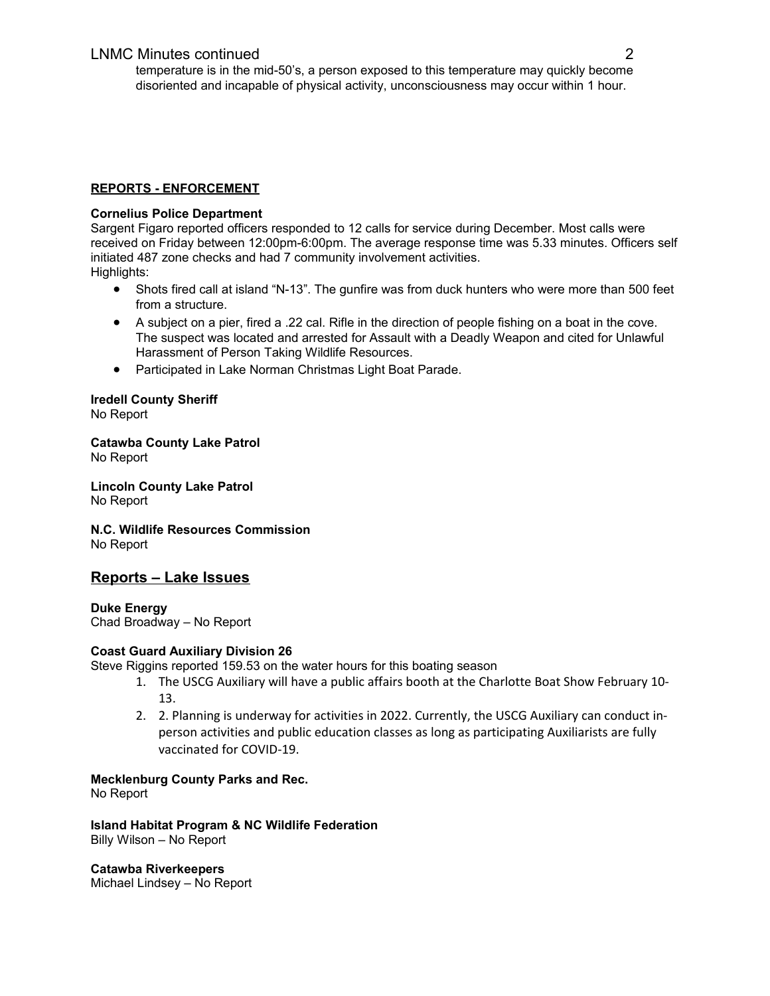#### **REPORTS - ENFORCEMENT**

#### **Cornelius Police Department**

Sargent Figaro reported officers responded to 12 calls for service during December. Most calls were received on Friday between 12:00pm-6:00pm. The average response time was 5.33 minutes. Officers self initiated 487 zone checks and had 7 community involvement activities. Highlights:

- Shots fired call at island "N-13". The gunfire was from duck hunters who were more than 500 feet from a structure.
- A subject on a pier, fired a .22 cal. Rifle in the direction of people fishing on a boat in the cove. The suspect was located and arrested for Assault with a Deadly Weapon and cited for Unlawful Harassment of Person Taking Wildlife Resources.
- Participated in Lake Norman Christmas Light Boat Parade.

#### **Iredell County Sheriff** No Report

**Catawba County Lake Patrol** No Report

**Lincoln County Lake Patrol** No Report

**N.C. Wildlife Resources Commission** No Report

## **Reports – Lake Issues**

**Duke Energy**  Chad Broadway – No Report

#### **Coast Guard Auxiliary Division 26**

Steve Riggins reported 159.53 on the water hours for this boating season

- 1. The USCG Auxiliary will have a public affairs booth at the Charlotte Boat Show February 10- 13.
- 2. 2. Planning is underway for activities in 2022. Currently, the USCG Auxiliary can conduct inperson activities and public education classes as long as participating Auxiliarists are fully vaccinated for COVID-19.

#### **Mecklenburg County Parks and Rec.**

No Report

**Island Habitat Program & NC Wildlife Federation** Billy Wilson – No Report

**Catawba Riverkeepers** Michael Lindsey – No Report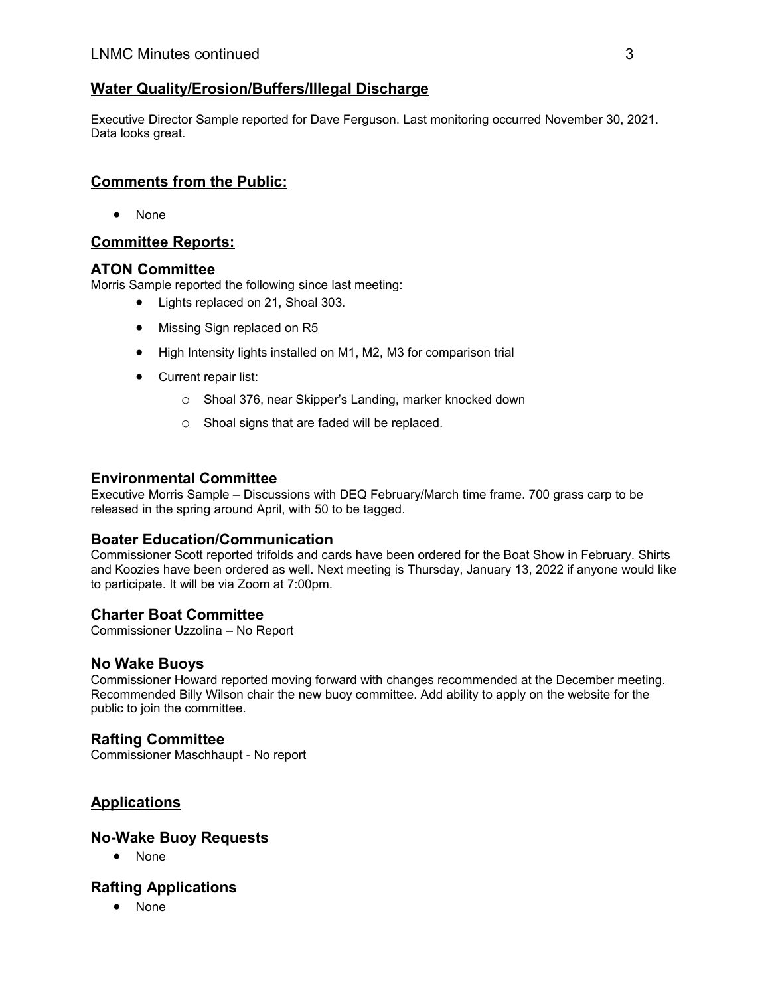# **Water Quality/Erosion/Buffers/Illegal Discharge**

Executive Director Sample reported for Dave Ferguson. Last monitoring occurred November 30, 2021. Data looks great.

# **Comments from the Public:**

None

# **Committee Reports:**

#### **ATON Committee**

Morris Sample reported the following since last meeting:

- Lights replaced on 21, Shoal 303.
- Missing Sign replaced on R5
- High Intensity lights installed on M1, M2, M3 for comparison trial
- Current repair list:
	- o Shoal 376, near Skipper's Landing, marker knocked down
	- o Shoal signs that are faded will be replaced.

#### **Environmental Committee**

Executive Morris Sample – Discussions with DEQ February/March time frame. 700 grass carp to be released in the spring around April, with 50 to be tagged.

#### **Boater Education/Communication**

Commissioner Scott reported trifolds and cards have been ordered for the Boat Show in February. Shirts and Koozies have been ordered as well. Next meeting is Thursday, January 13, 2022 if anyone would like to participate. It will be via Zoom at 7:00pm.

## **Charter Boat Committee**

Commissioner Uzzolina – No Report

#### **No Wake Buoys**

Commissioner Howard reported moving forward with changes recommended at the December meeting. Recommended Billy Wilson chair the new buoy committee. Add ability to apply on the website for the public to join the committee.

## **Rafting Committee**

Commissioner Maschhaupt - No report

# **Applications**

#### **No-Wake Buoy Requests**

• None

## **Rafting Applications**

None